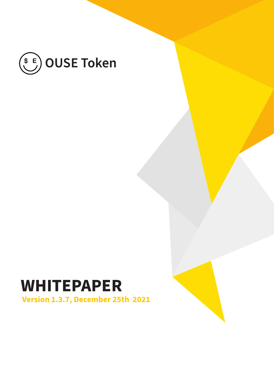

### **Version 1.3.7, December 25th 2021 WHITEPAPER**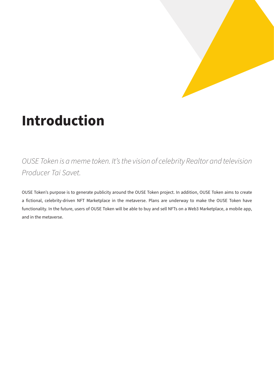

## **Introduction**

*OUSE Token is a meme token. It's the vision of celebrity Realtor and television Producer Tai Savet.*

OUSE Token's purpose is to generate publicity around the OUSE Token project. In addition, OUSE Token aims to create a fictional, celebrity-driven NFT Marketplace in the metaverse. Plans are underway to make the OUSE Token have functionality. In the future, users of OUSE Token will be able to buy and sell NFTs on a Web3 Marketplace, a mobile app, and in the metaverse.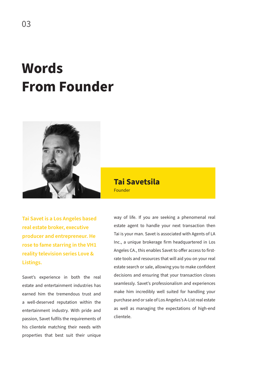## **Words From Founder**



Founder **Tai Savetsila**

**Tai Savet is a Los Angeles based real estate broker, executive producer and entrepreneur. He rose to fame starring in the VH1 reality television series Love & Listings.**

Savet's experience in both the real estate and entertainment industries has earned him the tremendous trust and a well-deserved reputation within the entertainment industry. With pride and passion, Savet fulfils the requirements of his clientele matching their needs with properties that best suit their unique

way of life. If you are seeking a phenomenal real estate agent to handle your next transaction then Tai is your man. Savet is associated with Agents of LA Inc., a unique brokerage firm headquartered in Los Angeles CA., this enables Savet to offer access to firstrate tools and resources that will aid you on your real estate search or sale, allowing you to make confident decisions and ensuring that your transaction closes seamlessly. Savet's professionalism and experiences make him incredibly well suited for handling your purchase and or sale of Los Angeles's A-List real estate as well as managing the expectations of high-end clientele.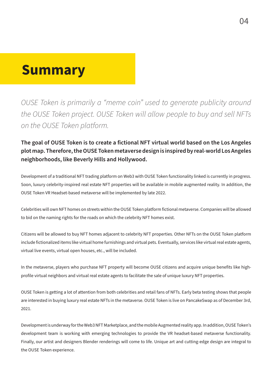### **Summary**

*OUSE Token is primarily a "meme coin" used to generate publicity around the OUSE Token project. OUSE Token will allow people to buy and sell NFTs on the OUSE Token platform.*

#### **The goal of OUSE Token is to create a fictional NFT virtual world based on the Los Angeles plot map. Therefore, the OUSE Token metaverse design is inspired by real-world Los Angeles neighborhoods, like Beverly Hills and Hollywood.**

Development of a traditional NFT trading platform on Web3 with OUSE Token functionality linked is currently in progress. Soon, luxury celebrity-inspired real estate NFT properties will be available in mobile augmented reality. In addition, the OUSE Token VR Headset-based metaverse will be implemented by late 2022.

Celebrities will own NFT homes on streets within the OUSE Token platform fictional metaverse. Companies will be allowed to bid on the naming rights for the roads on which the celebrity NFT homes exist.

Citizens will be allowed to buy NFT homes adjacent to celebrity NFT properties. Other NFTs on the OUSE Token platform include fictionalized items like virtual home furnishings and virtual pets. Eventually, services like virtual real estate agents, virtual live events, virtual open houses, etc., will be included.

In the metaverse, players who purchase NFT property will become OUSE citizens and acquire unique benefits like highprofile virtual neighbors and virtual real estate agents to facilitate the sale of unique luxury NFT properties.

OUSE Token is getting a lot of attention from both celebrities and retail fans of NFTs. Early beta testing shows that people are interested in buying luxury real estate NFTs in the metaverse. OUSE Token is live on PancakeSwap as of December 3rd, 2021.

Development is underway for the Web3 NFT Marketplace, and the mobile Augmented reality app. In addition, OUSE Token's development team is working with emerging technologies to provide the VR headset-based metaverse functionality. Finally, our artist and designers Blender renderings will come to life. Unique art and cutting-edge design are integral to the OUSE Token experience.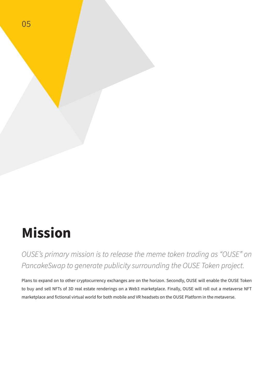

05

*OUSE's primary mission is to release the meme token trading as "OUSE" on PancakeSwap to generate publicity surrounding the OUSE Token project.* 

Plans to expand on to other cryptocurrency exchanges are on the horizon. Secondly, OUSE will enable the OUSE Token to buy and sell NFTs of 3D real estate renderings on a Web3 marketplace. Finally, OUSE will roll out a metaverse NFT marketplace and fictional virtual world for both mobile and VR headsets on the OUSE Platform in the metaverse.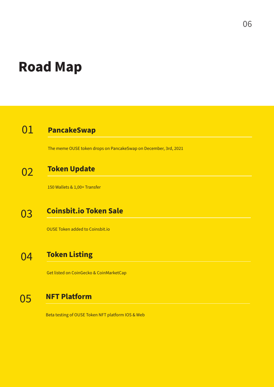## **Road Map**

### 01 **PancakeSwap**

The meme OUSE token drops on PancakeSwap on December, 3rd, 2021

### **Token Update** 02

150 Wallets & 1,00+ Transfer

### **Coinsbit.io Token Sale** 03

OUSE Token added to Coinsbit.io

### **Token Listing** 04

Get listed on CoinGecko & CoinMarketCap

### 05 **NFT Platform**

Beta testing of OUSE Token NFT platform IOS & Web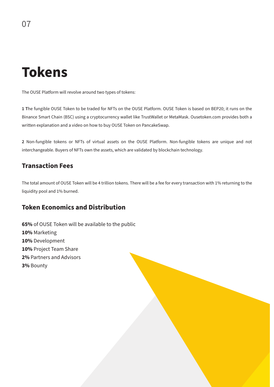## **Tokens**

The OUSE Platform will revolve around two types of tokens:

**1 T**he fungible OUSE Token to be traded for NFTs on the OUSE Platform. OUSE Token is based on BEP20; it runs on the Binance Smart Chain (BSC) using a cryptocurrency wallet like TrustWallet or MetaMask. Ousetoken.com provides both a written explanation and a video on how to buy OUSE Token on PancakeSwap.

**2** Non-fungible tokens or NFTs of virtual assets on the OUSE Platform. Non-fungible tokens are unique and not interchangeable. Buyers of NFTs own the assets, which are validated by blockchain technology.

#### **Transaction Fees**

The total amount of OUSE Token will be 4 trillion tokens. There will be a fee for every transaction with 1% returning to the liquidity pool and 1% burned.

#### **Token Economics and Distribution**

**65%** of OUSE Token will be available to the public **10%** Marketing **10%** Development **10%** Project Team Share **2%** Partners and Advisors **3%** Bounty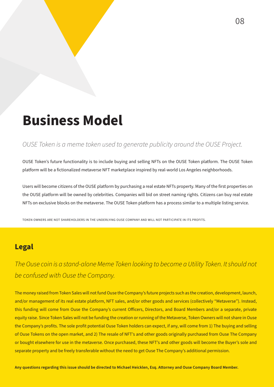## **Business Model**

#### *OUSE Token is a meme token used to generate publicity around the OUSE Project.*

OUSE Token's future functionality is to include buying and selling NFTs on the OUSE Token platform. The OUSE Token platform will be a fictionalized metaverse NFT marketplace inspired by real-world Los Angeles neighborhoods.

Users will become citizens of the OUSE platform by purchasing a real estate NFTs property. Many of the first properties on the OUSE platform will be owned by celebrities. Companies will bid on street naming rights. Citizens can buy real estate NFTs on exclusive blocks on the metaverse. The OUSE Token platform has a process similar to a multiple listing service.

TOKEN OWNERS ARE NOT SHAREHOLDERS IN THE UNDERLYING OUSE COMPANY AND WILL NOT PARTICIPATE IN ITS PROFITS.

#### **Legal**

*The Ouse coin is a stand-alone Meme Token looking to become a Utility Token. It should not be confused with Ouse the Company.* 

The money raised from Token Sales will not fund Ouse the Company's future projects such as the creation, development, launch, and/or management of its real estate platform, NFT sales, and/or other goods and services (collectively "Metaverse"). Instead, this funding will come from Ouse the Company's current Officers, Directors, and Board Members and/or a separate, private equity raise. Since Token Sales will not be funding the creation or running of the Metaverse, Token Owners will not share in Ouse the Company's profits. The sole profit potential Ouse Token holders can expect, if any, will come from 1) The buying and selling of Ouse Tokens on the open market, and 2) The resale of NFT's and other goods originally purchased from Ouse The Company or bought elsewhere for use in the metaverse. Once purchased, these NFT's and other goods will become the Buyer's sole and separate property and be freely transferable without the need to get Ouse The Company's additional permission.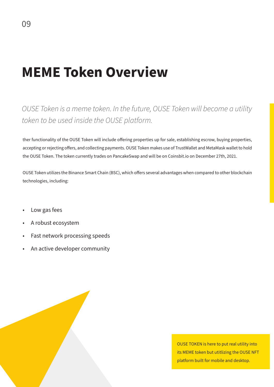## **MEME Token Overview**

### *OUSE Token is a meme token. In the future, OUSE Token will become a utility token to be used inside the OUSE platform.*

ther functionality of the OUSE Token will include offering properties up for sale, establishing escrow, buying properties, accepting or rejecting offers, and collecting payments. OUSE Token makes use of TrustWallet and MetaMask wallet to hold the OUSE Token. The token currently trades on PancakeSwap and will be on Coinsbit.io on December 27th, 2021.

OUSE Token utilizes the Binance Smart Chain (BSC), which offers several advantages when compared to other blockchain technologies, including:

- Low gas fees
- A robust ecosystem
- Fast network processing speeds
- An active developer community

OUSE TOKEN is here to put real utility into its MEME token but utitlizing the OUSE NFT platform built for mobile and desktop.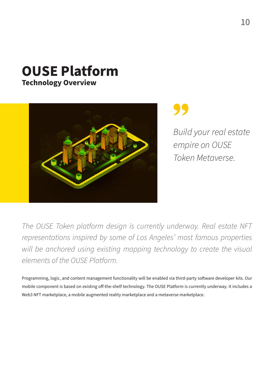# **OUSE Platform**

**Technology Overview**



*Build your real estate empire on OUSE Token Metaverse.*

*The OUSE Token platform design is currently underway. Real estate NFT representations inspired by some of Los Angeles' most famous properties*  will be anchored using existing mapping technology to create the visual *elements of the OUSE Platform.* 

Programming, logic, and content management functionality will be enabled via third-party software developer kits. Our mobile component is based on existing off-the-shelf technology. The OUSE Platform is currently underway. It includes a Web3 NFT marketplace, a mobile augmented reality marketplace and a metaverse marketplace.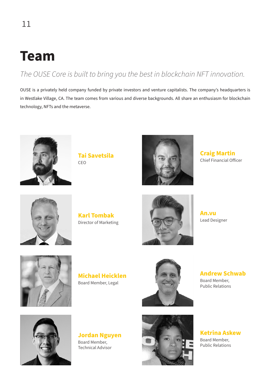## **Team**

### *The OUSE Core is built to bring you the best in blockchain NFT innovation.*

OUSE is a privately held company funded by private investors and venture capitalists. The company's headquarters is in Westlake Village, CA. The team comes from various and diverse backgrounds. All share an enthusiasm for blockchain technology, NFTs and the metaverse.



**Tai Savetsila** CEO



**Craig Martin** Chief Financial Officer



**Karl Tombak** Director of Marketing



**An.vu** Lead Designer



**Michael Heicklen** Board Member, Legal



**Andrew Schwab** Board Member, Public Relations



**Jordan Nguyen** Board Member, Technical Advisor



**Ketrina Askew** Board Member,

Public Relations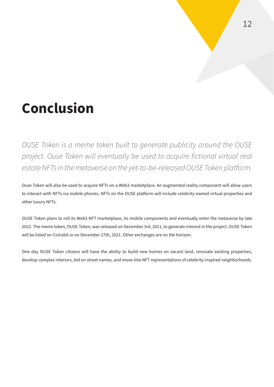## **Conclusion**

*OUSE Token is a meme token built to generate publicity around the OUSE*  project. Ouse Token will eventually be used to acquire fictional virtual real *estate NFTs in the metaverse on the yet-to-be-released OUSE Token platform.*

Ouse Token will also be used to acquire NFTs on a Web3 marketplace. An augmented reality component will allow users to interact with NFTs via mobile phones. NFTs on the OUSE platform will include celebrity-owned virtual properties and other luxury NFTs.

OUSE Token plans to roll its Web3 NFT marketplace, its mobile components and eventually enter the metaverse by late 2022. The meme token, OUSE Token, was released on December 3rd, 2021, to generate interest in the project. OUSE Token will be listed on Coinsbit.io on December 27th, 2021. Other exchanges are on the horizon.

One day OUSE Token citizens will have the ability to build new homes on vacant land, renovate existing properties, develop complex interiors, bid on street names, and move into NFT representations of celebrity-inspired neighborhoods.